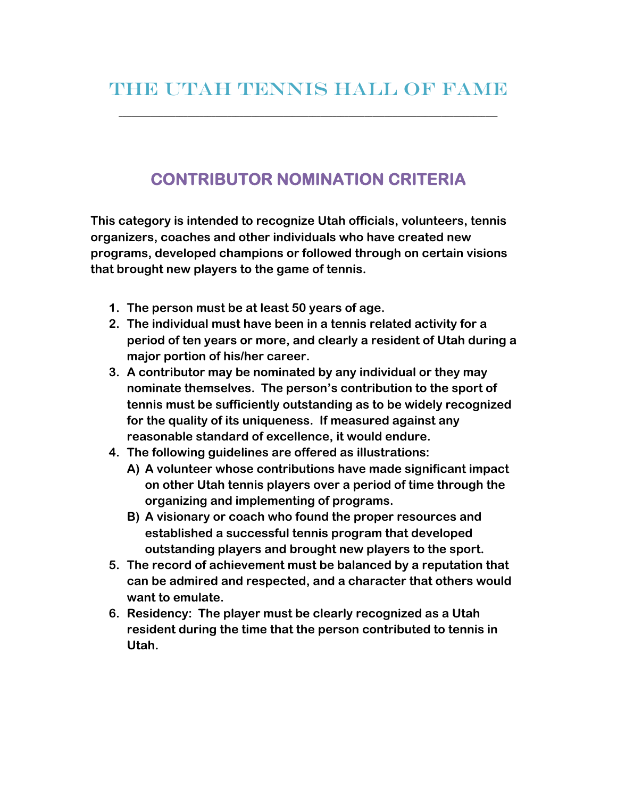\_\_\_\_\_\_\_\_\_\_\_\_\_\_\_\_\_\_\_\_\_\_\_\_\_\_\_\_\_\_\_\_\_\_\_\_\_\_\_\_\_\_\_\_\_\_\_\_\_\_\_\_\_\_\_\_\_\_\_\_\_\_\_\_\_\_\_\_\_\_\_\_\_\_\_\_\_\_\_\_\_\_\_\_\_\_\_\_\_\_\_\_\_\_

## **CONTRIBUTOR NOMINATION CRITERIA**

**This category is intended to recognize Utah officials, volunteers, tennis organizers, coaches and other individuals who have created new programs, developed champions or followed through on certain visions that brought new players to the game of tennis.** 

- **1. The person must be at least 50 years of age.**
- **2. The individual must have been in a tennis related activity for a period of ten years or more, and clearly a resident of Utah during a major portion of his/her career.**
- **3. A contributor may be nominated by any individual or they may nominate themselves. The person's contribution to the sport of tennis must be sufficiently outstanding as to be widely recognized for the quality of its uniqueness. If measured against any reasonable standard of excellence, it would endure.**
- **4. The following guidelines are offered as illustrations:** 
	- **A) A volunteer whose contributions have made significant impact on other Utah tennis players over a period of time through the organizing and implementing of programs.**
	- **B) A visionary or coach who found the proper resources and established a successful tennis program that developed outstanding players and brought new players to the sport.**
- **5. The record of achievement must be balanced by a reputation that can be admired and respected, and a character that others would want to emulate.**
- **6. Residency: The player must be clearly recognized as a Utah resident during the time that the person contributed to tennis in Utah.**